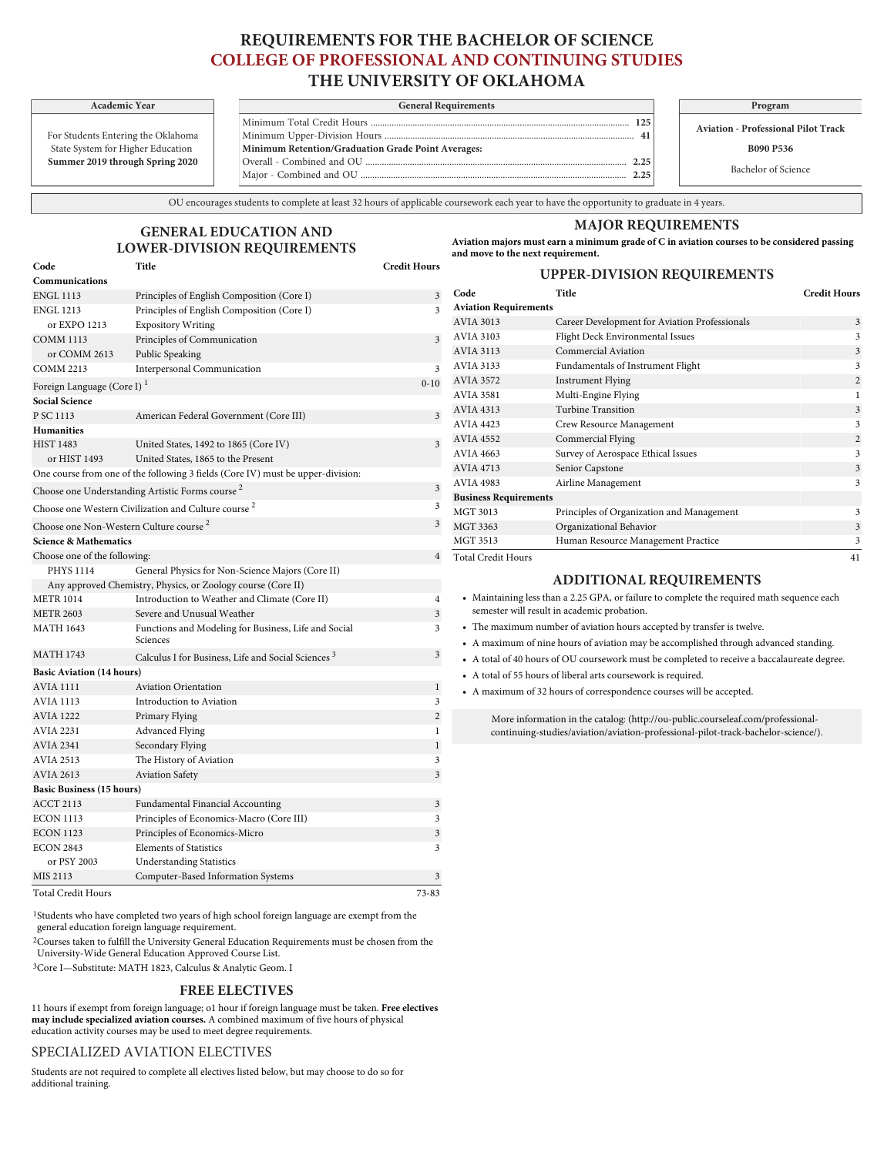# **REQUIREMENTS FOR THE BACHELOR OF SCIENCE COLLEGE OF PROFESSIONAL AND CONTINUING STUDIES THE UNIVERSITY OF OKLAHOMA**

For Students Entering the Oklahoma

| Summer 2019 through Spring 2020    |
|------------------------------------|
| State System for Higher Education  |
| Pol students Entering the Oxianoma |

| <b>Academic Year</b>      | <b>General Requirements</b>                        | Program                       |
|---------------------------|----------------------------------------------------|-------------------------------|
|                           | $125 -$                                            | <b>Aviation - Professiona</b> |
| nts Entering the Oklahoma |                                                    |                               |
| em for Higher Education   | Minimum Retention/Graduation Grade Point Averages: | <b>B090 P53</b>               |
| 2019 through Spring 2020  | 2.25                                               | Bachelor of Sc                |
|                           | つつち                                                |                               |

**Aviation - Professional Pilot Track**

**B090 P536**

Bachelor of Science

OU encourages students to complete at least 32 hours of applicable coursework each year to have the opportunity to graduate in 4 years.

### **MAJOR REQUIREMENTS**

**GENERAL EDUCATION AND LOWER-DIVISION REQUIREMENTS Code Title Credit Hours**

 $\label{eq:1} \text{ Foreign Language (Core I)}^1 \qquad \qquad 0 \text{-} 1$ 

**Aviation majors must earn a minimum grade of C in aviation courses to be considered passing and move to the next requirement.**

| rs             |                              | <b>UPPER-DIVISION REQUIREMENTS</b>            |                     |
|----------------|------------------------------|-----------------------------------------------|---------------------|
| 3              | Code                         | Title                                         | <b>Credit Hours</b> |
| 3              | <b>Aviation Requirements</b> |                                               |                     |
|                | <b>AVIA 3013</b>             | Career Development for Aviation Professionals | 3                   |
| $\overline{3}$ | <b>AVIA 3103</b>             | Flight Deck Environmental Issues              | 3                   |
|                | <b>AVIA 3113</b>             | Commercial Aviation                           | 3                   |
| 3              | AVIA 3133                    | Fundamentals of Instrument Flight             | 3                   |
| $\Omega$       | <b>AVIA 3572</b>             | <b>Instrument Flying</b>                      | $\overline{2}$      |
|                | <b>AVIA 3581</b>             | Multi-Engine Flying                           |                     |
| $\overline{3}$ | <b>AVIA 4313</b>             | Turbine Transition                            | 3                   |
|                | <b>AVIA 4423</b>             | Crew Resource Management                      | 3                   |
| $\overline{3}$ | <b>AVIA 4552</b>             | Commercial Flying                             | $\overline{2}$      |
|                | <b>AVIA 4663</b>             | Survey of Aerospace Ethical Issues            | 3                   |
|                | <b>AVIA 4713</b>             | Senior Capstone                               | 3                   |

|  |  |  |  |  |  |  | One course from one of the following 3 fields (Core IV) must be upper-division: |
|--|--|--|--|--|--|--|---------------------------------------------------------------------------------|
|--|--|--|--|--|--|--|---------------------------------------------------------------------------------|

or EXPO 1213 Expository Writing COMM 1113 Principles of Communication or COMM 2613 Public Speaking COMM 2213 Interpersonal Communication

Choose one Understanding Artistic Forms course  $2\overline{3}$ 

Choose one Western Civilization and Culture course  $2\overline{3}$ 

ENGL 1113 Principles of English Composition (Core I) ENGL 1213 Principles of English Composition (Core I)

P SC 1113 American Federal Government (Core III)

HIST 1483 United States, 1492 to 1865 (Core IV) or HIST 1493 United States, 1865 to the Present

# Choose one Non-Western Culture course  $2\overline{3}$

## **Science & Mathematics**

**Communications**

**Social Science**

**Humanities**

| Science & Mathematics        |                                                  |  |
|------------------------------|--------------------------------------------------|--|
| Choose one of the following: |                                                  |  |
| PHYS 1114                    | General Physics for Non-Science Majors (Core II) |  |

| <b>PHYS 1114</b>                 | General Physics for Non-Science Majors (Core II)                 |                |
|----------------------------------|------------------------------------------------------------------|----------------|
|                                  | Any approved Chemistry, Physics, or Zoology course (Core II)     |                |
| <b>METR 1014</b>                 | Introduction to Weather and Climate (Core II)                    | 4              |
| <b>METR 2603</b>                 | Severe and Unusual Weather                                       | 3              |
| <b>MATH 1643</b>                 | Functions and Modeling for Business, Life and Social<br>Sciences | 3              |
| <b>MATH 1743</b>                 | Calculus I for Business, Life and Social Sciences <sup>3</sup>   | 3              |
| <b>Basic Aviation (14 hours)</b> |                                                                  |                |
| <b>AVIA 1111</b>                 | <b>Aviation Orientation</b>                                      | $\mathbf{1}$   |
| <b>AVIA 1113</b>                 | Introduction to Aviation                                         | 3              |
| <b>AVIA 1222</b>                 | Primary Flying                                                   | $\overline{2}$ |
| <b>AVIA 2231</b>                 | Advanced Flying                                                  |                |
| <b>AVIA 2341</b>                 | Secondary Flying                                                 | $\mathbf 1$    |
| <b>AVIA 2513</b>                 | The History of Aviation                                          | 3              |
| <b>AVIA 2613</b>                 | <b>Aviation Safety</b>                                           | 3              |
| <b>Basic Business (15 hours)</b> |                                                                  |                |
| <b>ACCT 2113</b>                 | <b>Fundamental Financial Accounting</b>                          | 3              |

| <b>Total Credit Hours</b>                                                                  | 41 |
|--------------------------------------------------------------------------------------------|----|
| <b>ADDITIONAL REQUIREMENTS</b>                                                             |    |
| • Maintaining less than a 2.25 GPA, or failure to complete the required math sequence each |    |

AVIA 4983 Airline Management 3

MGT 3013 Principles of Organization and Management 3 MGT 3363 Organizational Behavior 3 MGT 3513 Human Resource Management Practice 3

- semester will result in academic probation.
- The maximum number of aviation hours accepted by transfer is twelve.
- A maximum of nine hours of aviation may be accomplished through advanced standing.
- A total of 40 hours of OU coursework must be completed to receive a baccalaureate degree.
- A total of 55 hours of liberal arts coursework is required.

**Business Requirements**

• A maximum of 32 hours of correspondence courses will be accepted.

More information in the catalog: ([http://ou-public.courseleaf.com/professional](http://ou-public.courseleaf.com/professional-continuing-studies/aviation/aviation-professional-pilot-track-bachelor-science/)[continuing-studies/aviation/aviation-professional-pilot-track-bachelor-science/\)](http://ou-public.courseleaf.com/professional-continuing-studies/aviation/aviation-professional-pilot-track-bachelor-science/).

Total Credit Hours 73-83

1Students who have completed two years of high school foreign language are exempt from the general education foreign language requirement.

2Courses taken to fulfill the University General Education Requirements must be chosen from the [University-Wide General Education Approved Course List](http://www.ou.edu/gened/courses/).

ECON 1113 Principles of Economics-Macro (Core III) 3 ECON 1123 Principles of Economics-Micro 3 ECON 2843 Elements of Statistics 3

MIS 2113 Computer-Based Information Systems 3

3Core I—Substitute: MATH 1823, Calculus & Analytic Geom. I

or PSY 2003 Understanding Statistics

### **FREE ELECTIVES**

11 hours if exempt from foreign language; o1 hour if foreign language must be taken. **Free electives may include specialized aviation courses.** A combined maximum of five hours of physical education activity courses may be used to meet degree requirements.

### [SPECIALIZED AVIATION ELECTIVES](/professional-continuing-studies/aviation/aviation-professional-pilot-track-bachelor-science/#courseliststext)

Students are not required to complete all electives [listed](/professional-continuing-studies/aviation/aviation-professional-pilot-track-bachelor-science/#courseliststext) below, but may choose to do so for additional training.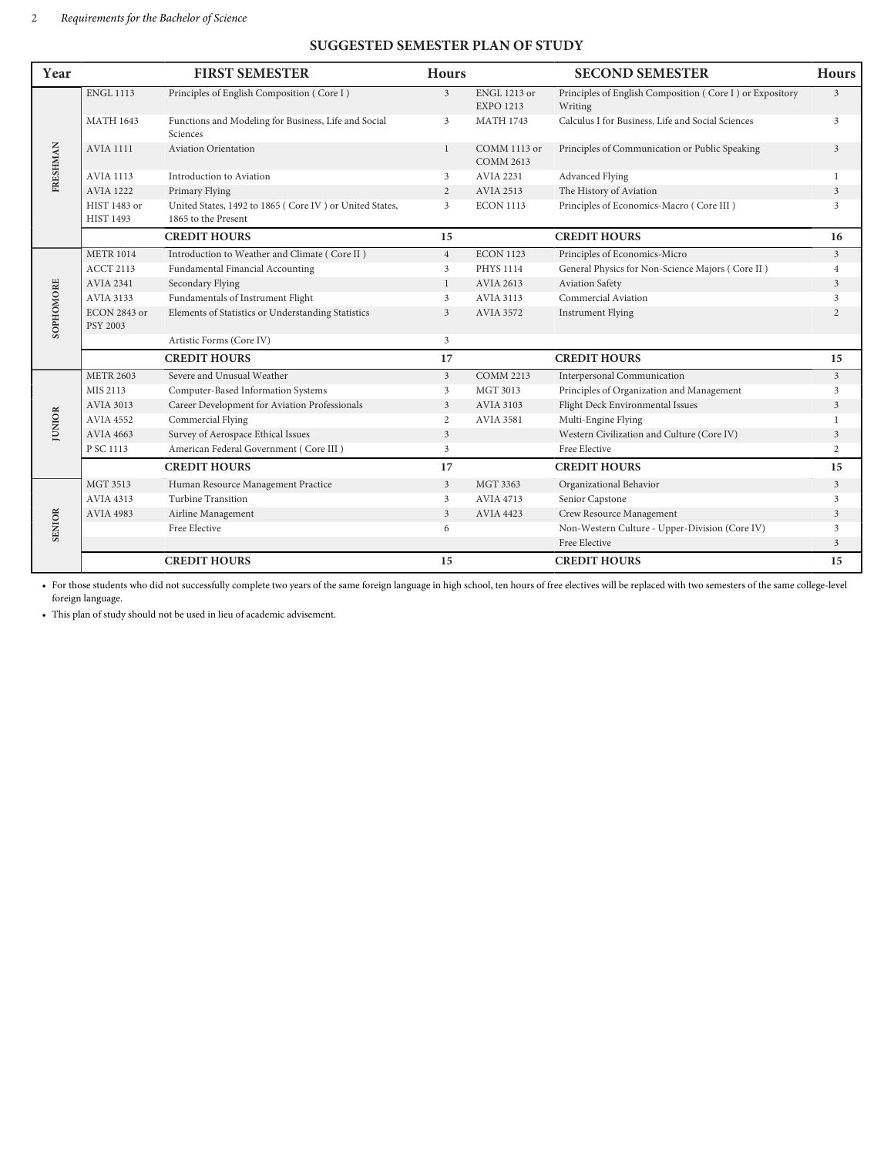## **SUGGESTED SEMESTER PLAN OF STUDY**

| Year          |                                  | <b>FIRST SEMESTER</b>                                                          | <b>Hours</b>   |                                         | <b>SECOND SEMESTER</b>                                              | <b>Hours</b>   |
|---------------|----------------------------------|--------------------------------------------------------------------------------|----------------|-----------------------------------------|---------------------------------------------------------------------|----------------|
| FRESHMAN      | <b>ENGL 1113</b>                 | Principles of English Composition (Core I)                                     | $\mathfrak{Z}$ | <b>ENGL 1213 or</b><br><b>EXPO 1213</b> | Principles of English Composition (Core I) or Expository<br>Writing | 3              |
|               | <b>MATH 1643</b>                 | Functions and Modeling for Business, Life and Social<br>Sciences               | 3              | <b>MATH 1743</b>                        | Calculus I for Business, Life and Social Sciences                   | 3              |
|               | <b>AVIA 1111</b>                 | <b>Aviation Orientation</b>                                                    | $\mathbf{1}$   | COMM 1113 or<br><b>COMM 2613</b>        | Principles of Communication or Public Speaking                      | 3              |
|               | <b>AVIA 1113</b>                 | Introduction to Aviation                                                       | 3              | <b>AVIA 2231</b>                        | Advanced Flying                                                     | $\overline{1}$ |
|               | <b>AVIA 1222</b>                 | Primary Flying                                                                 | 2              | <b>AVIA 2513</b>                        | The History of Aviation                                             | 3              |
|               | HIST 1483 or<br><b>HIST 1493</b> | United States, 1492 to 1865 (Core IV) or United States,<br>1865 to the Present | 3              | <b>ECON 1113</b>                        | Principles of Economics-Macro (Core III)                            | 3              |
|               |                                  | <b>CREDIT HOURS</b>                                                            | 15             |                                         | <b>CREDIT HOURS</b>                                                 | 16             |
|               | <b>METR 1014</b>                 | Introduction to Weather and Climate (Core II)                                  | $\overline{4}$ | <b>ECON 1123</b>                        | Principles of Economics-Micro                                       | $\overline{3}$ |
|               | <b>ACCT 2113</b>                 | Fundamental Financial Accounting                                               | 3              | <b>PHYS 1114</b>                        | General Physics for Non-Science Majors (Core II)                    | $\overline{4}$ |
|               | <b>AVIA 2341</b>                 | Secondary Flying                                                               | $\mathbf{1}$   | <b>AVIA 2613</b>                        | Aviation Safety                                                     | 3              |
| SOPHOMORE     | <b>AVIA 3133</b>                 | Fundamentals of Instrument Flight                                              | 3              | <b>AVIA 3113</b>                        | Commercial Aviation                                                 | 3              |
|               | ECON 2843 or<br><b>PSY 2003</b>  | Elements of Statistics or Understanding Statistics                             | 3              | <b>AVIA 3572</b>                        | <b>Instrument Flying</b>                                            | $\overline{2}$ |
|               |                                  | Artistic Forms (Core IV)                                                       | 3              |                                         |                                                                     |                |
|               |                                  | <b>CREDIT HOURS</b>                                                            | 17             |                                         | <b>CREDIT HOURS</b>                                                 | 15             |
|               | <b>METR 2603</b>                 | Severe and Unusual Weather                                                     | $\mathbf{3}$   | <b>COMM 2213</b>                        | <b>Interpersonal Communication</b>                                  | $\overline{3}$ |
| <b>JUNIOR</b> | MIS 2113                         | Computer-Based Information Systems                                             | 3              | MGT 3013                                | Principles of Organization and Management                           | 3              |
|               | <b>AVIA 3013</b>                 | Career Development for Aviation Professionals                                  | $\mathfrak{Z}$ | <b>AVIA 3103</b>                        | Flight Deck Environmental Issues                                    | 3              |
|               | <b>AVIA 4552</b>                 | Commercial Flying                                                              | 2              | <b>AVIA 3581</b>                        | Multi-Engine Flying                                                 |                |
|               | <b>AVIA 4663</b>                 | Survey of Aerospace Ethical Issues                                             | 3              |                                         | Western Civilization and Culture (Core IV)                          | 3              |
|               | P SC 1113                        | American Federal Government (Core III)                                         | 3              |                                         | Free Elective                                                       | 2              |
|               |                                  | <b>CREDIT HOURS</b>                                                            | 17             |                                         | <b>CREDIT HOURS</b>                                                 | 15             |
|               | <b>MGT 3513</b>                  | Human Resource Management Practice                                             | $\overline{3}$ | MGT 3363                                | Organizational Behavior                                             | $\mathfrak{Z}$ |
| <b>SENIOR</b> | <b>AVIA 4313</b>                 | <b>Turbine Transition</b>                                                      | 3              | <b>AVIA 4713</b>                        | Senior Capstone                                                     | 3              |
|               | <b>AVIA 4983</b>                 | Airline Management                                                             | 3              | <b>AVIA 4423</b>                        | Crew Resource Management                                            | 3              |
|               |                                  | Free Elective                                                                  | 6              |                                         | Non-Western Culture - Upper-Division (Core IV)                      | 3              |
|               |                                  |                                                                                |                |                                         | Free Elective                                                       | 3              |
|               |                                  | <b>CREDIT HOURS</b>                                                            | 15             |                                         | <b>CREDIT HOURS</b>                                                 | 15             |

• For those students who did not successfully complete two years of the same foreign language in high school, ten hours of free electives will be replaced with two semesters of the same college-level foreign language.

• This plan of study should not be used in lieu of academic advisement.